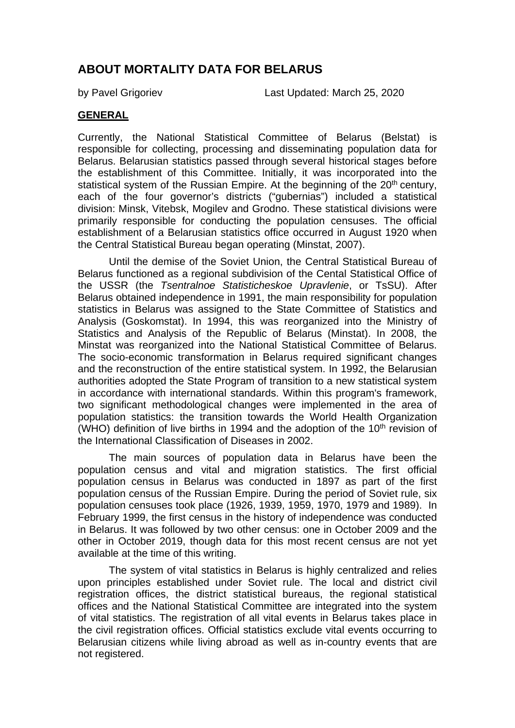# **ABOUT MORTALITY DATA FOR BELARUS**

by Pavel Grigoriev Last Updated: March 25, 2020

#### **GENERAL**

Currently, the National Statistical Committee of Belarus (Belstat) is responsible for collecting, processing and disseminating population data for Belarus. Belarusian statistics passed through several historical stages before the establishment of this Committee. Initially, it was incorporated into the statistical system of the Russian Empire. At the beginning of the  $20<sup>th</sup>$  century, each of the four governor's districts ("gubernias") included a statistical division: Minsk, Vitebsk, Mogilev and Grodno. These statistical divisions were primarily responsible for conducting the population censuses. The official establishment of a Belarusian statistics office occurred in August 1920 when the Central Statistical Bureau began operating (Minstat, 2007).

Until the demise of the Soviet Union, the Central Statistical Bureau of Belarus functioned as a regional subdivision of the Cental Statistical Office of the USSR (the *Tsentralnoe Statisticheskoe Upravlenie*, or TsSU). After Belarus obtained independence in 1991, the main responsibility for population statistics in Belarus was assigned to the State Committee of Statistics and Analysis (Goskomstat). In 1994, this was reorganized into the Ministry of Statistics and Analysis of the Republic of Belarus (Minstat). In 2008, the Minstat was reorganized into the National Statistical Committee of Belarus. The socio-economic transformation in Belarus required significant changes and the reconstruction of the entire statistical system. In 1992, the Belarusian authorities adopted the State Program of transition to a new statistical system in accordance with international standards. Within this program's framework, two significant methodological changes were implemented in the area of population statistics: the transition towards the World Health Organization (WHO) definition of live births in 1994 and the adoption of the  $10<sup>th</sup>$  revision of the International Classification of Diseases in 2002.

The main sources of population data in Belarus have been the population census and vital and migration statistics. The first official population census in Belarus was conducted in 1897 as part of the first population census of the Russian Empire. During the period of Soviet rule, six population censuses took place (1926, 1939, 1959, 1970, 1979 and 1989). In February 1999, the first census in the history of independence was conducted in Belarus. It was followed by two other census: one in October 2009 and the other in October 2019, though data for this most recent census are not yet available at the time of this writing.

The system of vital statistics in Belarus is highly centralized and relies upon principles established under Soviet rule. The local and district civil registration offices, the district statistical bureaus, the regional statistical offices and the National Statistical Committee are integrated into the system of vital statistics. The registration of all vital events in Belarus takes place in the civil registration offices. Official statistics exclude vital events occurring to Belarusian citizens while living abroad as well as in-country events that are not registered.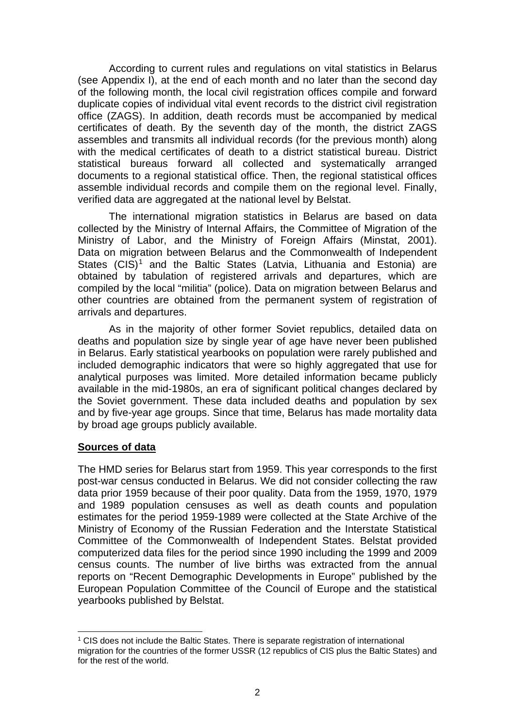According to current rules and regulations on vital statistics in Belarus (see Appendix I), at the end of each month and no later than the second day of the following month, the local civil registration offices compile and forward duplicate copies of individual vital event records to the district civil registration office (ZAGS). In addition, death records must be accompanied by medical certificates of death. By the seventh day of the month, the district ZAGS assembles and transmits all individual records (for the previous month) along with the medical certificates of death to a district statistical bureau. District statistical bureaus forward all collected and systematically arranged documents to a regional statistical office. Then, the regional statistical offices assemble individual records and compile them on the regional level. Finally, verified data are aggregated at the national level by Belstat.

The international migration statistics in Belarus are based on data collected by the Ministry of Internal Affairs, the Committee of Migration of the Ministry of Labor, and the Ministry of Foreign Affairs (Minstat, 2001). Data on migration between Belarus and the Commonwealth of Independent States  $(CIS)^1$  $(CIS)^1$  and the Baltic States (Latvia, Lithuania and Estonia) are obtained by tabulation of registered arrivals and departures, which are compiled by the local "militia" (police). Data on migration between Belarus and other countries are obtained from the permanent system of registration of arrivals and departures.

As in the majority of other former Soviet republics, detailed data on deaths and population size by single year of age have never been published in Belarus. Early statistical yearbooks on population were rarely published and included demographic indicators that were so highly aggregated that use for analytical purposes was limited. More detailed information became publicly available in the mid-1980s, an era of significant political changes declared by the Soviet government. These data included deaths and population by sex and by five-year age groups. Since that time, Belarus has made mortality data by broad age groups publicly available.

#### **Sources of data**

The HMD series for Belarus start from 1959. This year corresponds to the first post-war census conducted in Belarus. We did not consider collecting the raw data prior 1959 because of their poor quality. Data from the 1959, 1970, 1979 and 1989 population censuses as well as death counts and population estimates for the period 1959-1989 were collected at the State Archive of the Ministry of Economy of the Russian Federation and the Interstate Statistical Committee of the Commonwealth of Independent States. Belstat provided computerized data files for the period since 1990 including the 1999 and 2009 census counts. The number of live births was extracted from the annual reports on "Recent Demographic Developments in Europe" published by the European Population Committee of the Council of Europe and the statistical yearbooks published by Belstat.

<span id="page-1-0"></span><sup>-</sup> $1$  CIS does not include the Baltic States. There is separate registration of international migration for the countries of the former USSR (12 republics of CIS plus the Baltic States) and for the rest of the world.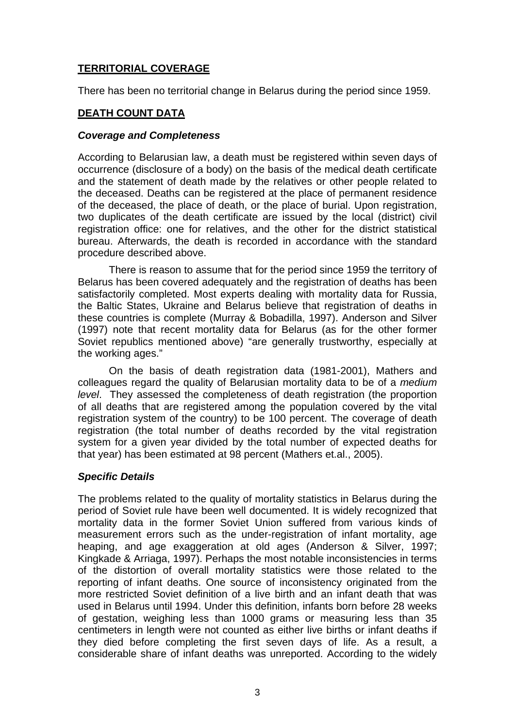## **TERRITORIAL COVERAGE**

There has been no territorial change in Belarus during the period since 1959.

#### **DEATH COUNT DATA**

#### *Coverage and Completeness*

According to Belarusian law, a death must be registered within seven days of occurrence (disclosure of a body) on the basis of the medical death certificate and the statement of death made by the relatives or other people related to the deceased. Deaths can be registered at the place of permanent residence of the deceased, the place of death, or the place of burial. Upon registration, two duplicates of the death certificate are issued by the local (district) civil registration office: one for relatives, and the other for the district statistical bureau. Afterwards, the death is recorded in accordance with the standard procedure described above.

There is reason to assume that for the period since 1959 the territory of Belarus has been covered adequately and the registration of deaths has been satisfactorily completed. Most experts dealing with mortality data for Russia, the Baltic States, Ukraine and Belarus believe that registration of deaths in these countries is complete (Murray & Bobadilla, 1997). Anderson and Silver (1997) note that recent mortality data for Belarus (as for the other former Soviet republics mentioned above) "are generally trustworthy, especially at the working ages."

On the basis of death registration data (1981-2001), Mathers and colleagues regard the quality of Belarusian mortality data to be of a *medium level*. They assessed the completeness of death registration (the proportion of all deaths that are registered among the population covered by the vital registration system of the country) to be 100 percent. The coverage of death registration (the total number of deaths recorded by the vital registration system for a given year divided by the total number of expected deaths for that year) has been estimated at 98 percent (Mathers et.al., 2005).

#### *Specific Details*

The problems related to the quality of mortality statistics in Belarus during the period of Soviet rule have been well documented. It is widely recognized that mortality data in the former Soviet Union suffered from various kinds of measurement errors such as the under-registration of infant mortality, age heaping, and age exaggeration at old ages (Anderson & Silver, 1997; Kingkade & Arriaga, 1997). Perhaps the most notable inconsistencies in terms of the distortion of overall mortality statistics were those related to the reporting of infant deaths. One source of inconsistency originated from the more restricted Soviet definition of a live birth and an infant death that was used in Belarus until 1994. Under this definition, infants born before 28 weeks of gestation, weighing less than 1000 grams or measuring less than 35 centimeters in length were not counted as either live births or infant deaths if they died before completing the first seven days of life. As a result, a considerable share of infant deaths was unreported. According to the widely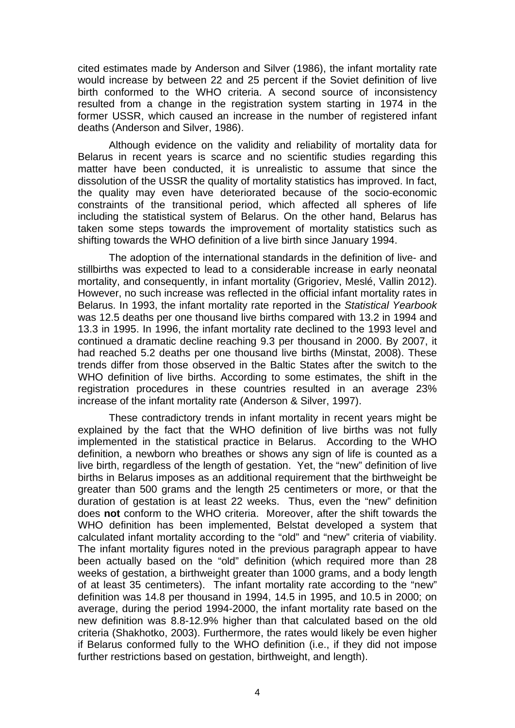cited estimates made by Anderson and Silver (1986), the infant mortality rate would increase by between 22 and 25 percent if the Soviet definition of live birth conformed to the WHO criteria. A second source of inconsistency resulted from a change in the registration system starting in 1974 in the former USSR, which caused an increase in the number of registered infant deaths (Anderson and Silver, 1986).

Although evidence on the validity and reliability of mortality data for Belarus in recent years is scarce and no scientific studies regarding this matter have been conducted, it is unrealistic to assume that since the dissolution of the USSR the quality of mortality statistics has improved. In fact, the quality may even have deteriorated because of the socio-economic constraints of the transitional period, which affected all spheres of life including the statistical system of Belarus. On the other hand, Belarus has taken some steps towards the improvement of mortality statistics such as shifting towards the WHO definition of a live birth since January 1994.

The adoption of the international standards in the definition of live- and stillbirths was expected to lead to a considerable increase in early neonatal mortality, and consequently, in infant mortality (Grigoriev, Meslé, Vallin 2012). However, no such increase was reflected in the official infant mortality rates in Belarus. In 1993, the infant mortality rate reported in the *Statistical Yearbook* was 12.5 deaths per one thousand live births compared with 13.2 in 1994 and 13.3 in 1995. In 1996, the infant mortality rate declined to the 1993 level and continued a dramatic decline reaching 9.3 per thousand in 2000. By 2007, it had reached 5.2 deaths per one thousand live births (Minstat, 2008). These trends differ from those observed in the Baltic States after the switch to the WHO definition of live births. According to some estimates, the shift in the registration procedures in these countries resulted in an average 23% increase of the infant mortality rate (Anderson & Silver, 1997).

These contradictory trends in infant mortality in recent years might be explained by the fact that the WHO definition of live births was not fully implemented in the statistical practice in Belarus. According to the WHO definition, a newborn who breathes or shows any sign of life is counted as a live birth, regardless of the length of gestation. Yet, the "new" definition of live births in Belarus imposes as an additional requirement that the birthweight be greater than 500 grams and the length 25 centimeters or more, or that the duration of gestation is at least 22 weeks. Thus, even the "new" definition does **not** conform to the WHO criteria. Moreover, after the shift towards the WHO definition has been implemented, Belstat developed a system that calculated infant mortality according to the "old" and "new" criteria of viability. The infant mortality figures noted in the previous paragraph appear to have been actually based on the "old" definition (which required more than 28 weeks of gestation, a birthweight greater than 1000 grams, and a body length of at least 35 centimeters). The infant mortality rate according to the "new" definition was 14.8 per thousand in 1994, 14.5 in 1995, and 10.5 in 2000; on average, during the period 1994-2000, the infant mortality rate based on the new definition was 8.8-12.9% higher than that calculated based on the old criteria (Shakhotko, 2003). Furthermore, the rates would likely be even higher if Belarus conformed fully to the WHO definition (i.e., if they did not impose further restrictions based on gestation, birthweight, and length).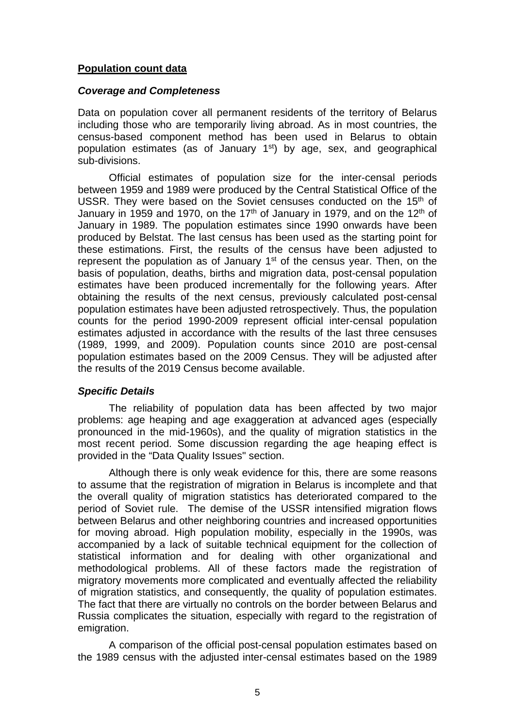#### **Population count data**

#### *Coverage and Completeness*

Data on population cover all permanent residents of the territory of Belarus including those who are temporarily living abroad. As in most countries, the census-based component method has been used in Belarus to obtain population estimates (as of January  $1<sup>st</sup>$ ) by age, sex, and geographical sub-divisions.

Official estimates of population size for the inter-censal periods between 1959 and 1989 were produced by the Central Statistical Office of the USSR. They were based on the Soviet censuses conducted on the 15<sup>th</sup> of January in 1959 and 1970, on the 17<sup>th</sup> of January in 1979, and on the 12<sup>th</sup> of January in 1989. The population estimates since 1990 onwards have been produced by Belstat. The last census has been used as the starting point for these estimations. First, the results of the census have been adjusted to represent the population as of January  $1<sup>st</sup>$  of the census year. Then, on the basis of population, deaths, births and migration data, post-censal population estimates have been produced incrementally for the following years. After obtaining the results of the next census, previously calculated post-censal population estimates have been adjusted retrospectively. Thus, the population counts for the period 1990-2009 represent official inter-censal population estimates adjusted in accordance with the results of the last three censuses (1989, 1999, and 2009). Population counts since 2010 are post-censal population estimates based on the 2009 Census. They will be adjusted after the results of the 2019 Census become available.

#### *Specific Details*

The reliability of population data has been affected by two major problems: age heaping and age exaggeration at advanced ages (especially pronounced in the mid-1960s), and the quality of migration statistics in the most recent period. Some discussion regarding the age heaping effect is provided in the "Data Quality Issues" section.

Although there is only weak evidence for this, there are some reasons to assume that the registration of migration in Belarus is incomplete and that the overall quality of migration statistics has deteriorated compared to the period of Soviet rule. The demise of the USSR intensified migration flows between Belarus and other neighboring countries and increased opportunities for moving abroad. High population mobility, especially in the 1990s, was accompanied by a lack of suitable technical equipment for the collection of statistical information and for dealing with other organizational and methodological problems. All of these factors made the registration of migratory movements more complicated and eventually affected the reliability of migration statistics, and consequently, the quality of population estimates. The fact that there are virtually no controls on the border between Belarus and Russia complicates the situation, especially with regard to the registration of emigration.

A comparison of the official post-censal population estimates based on the 1989 census with the adjusted inter-censal estimates based on the 1989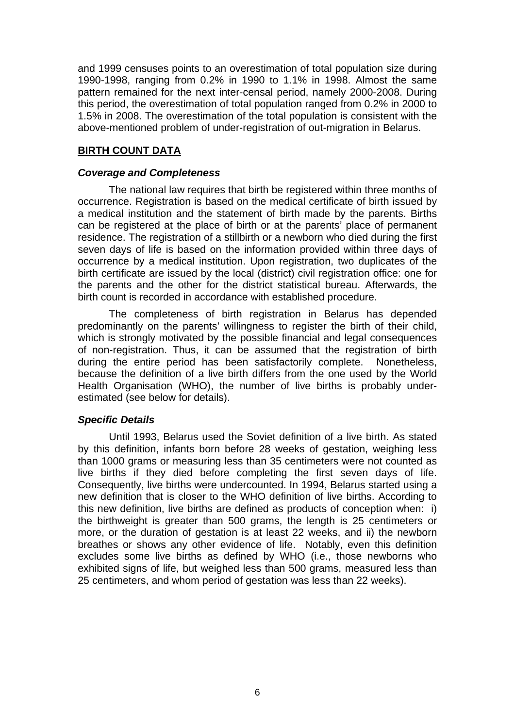and 1999 censuses points to an overestimation of total population size during 1990-1998, ranging from 0.2% in 1990 to 1.1% in 1998. Almost the same pattern remained for the next inter-censal period, namely 2000-2008. During this period, the overestimation of total population ranged from 0.2% in 2000 to 1.5% in 2008. The overestimation of the total population is consistent with the above-mentioned problem of under-registration of out-migration in Belarus.

#### **BIRTH COUNT DATA**

#### *Coverage and Completeness*

The national law requires that birth be registered within three months of occurrence. Registration is based on the medical certificate of birth issued by a medical institution and the statement of birth made by the parents. Births can be registered at the place of birth or at the parents' place of permanent residence. The registration of a stillbirth or a newborn who died during the first seven days of life is based on the information provided within three days of occurrence by a medical institution. Upon registration, two duplicates of the birth certificate are issued by the local (district) civil registration office: one for the parents and the other for the district statistical bureau. Afterwards, the birth count is recorded in accordance with established procedure.

The completeness of birth registration in Belarus has depended predominantly on the parents' willingness to register the birth of their child, which is strongly motivated by the possible financial and legal consequences of non-registration. Thus, it can be assumed that the registration of birth during the entire period has been satisfactorily complete. Nonetheless, because the definition of a live birth differs from the one used by the World Health Organisation (WHO), the number of live births is probably underestimated (see below for details).

#### *Specific Details*

Until 1993, Belarus used the Soviet definition of a live birth. As stated by this definition, infants born before 28 weeks of gestation, weighing less than 1000 grams or measuring less than 35 centimeters were not counted as live births if they died before completing the first seven days of life. Consequently, live births were undercounted. In 1994, Belarus started using a new definition that is closer to the WHO definition of live births. According to this new definition, live births are defined as products of conception when: i) the birthweight is greater than 500 grams, the length is 25 centimeters or more, or the duration of gestation is at least 22 weeks, and ii) the newborn breathes or shows any other evidence of life. Notably, even this definition excludes some live births as defined by WHO (i.e., those newborns who exhibited signs of life, but weighed less than 500 grams, measured less than 25 centimeters, and whom period of gestation was less than 22 weeks).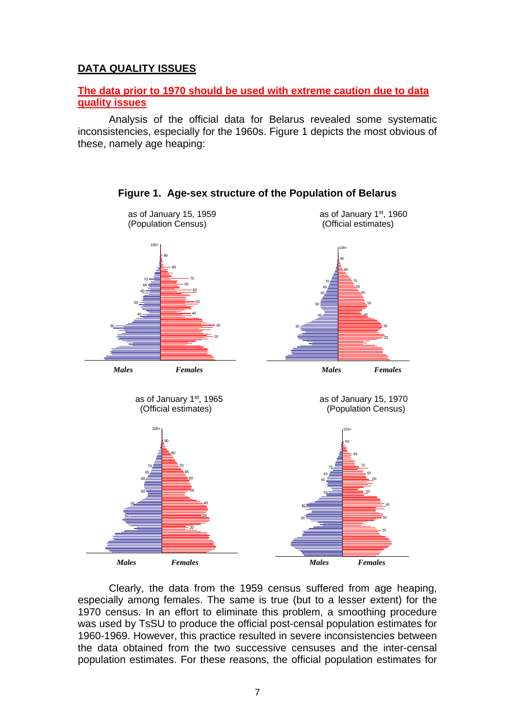## **DATA QUALITY ISSUES**

#### **The data prior to 1970 should be used with extreme caution due to data quality issues**

Analysis of the official data for Belarus revealed some systematic inconsistencies, especially for the 1960s. Figure 1 depicts the most obvious of these, namely age heaping:



**Figure 1. Age-sex structure of the Population of Belarus**

Clearly, the data from the 1959 census suffered from age heaping, especially among females. The same is true (but to a lesser extent) for the 1970 census. In an effort to eliminate this problem, a smoothing procedure was used by TsSU to produce the official post-censal population estimates for 1960-1969. However, this practice resulted in severe inconsistencies between the data obtained from the two successive censuses and the inter-censal population estimates. For these reasons, the official population estimates for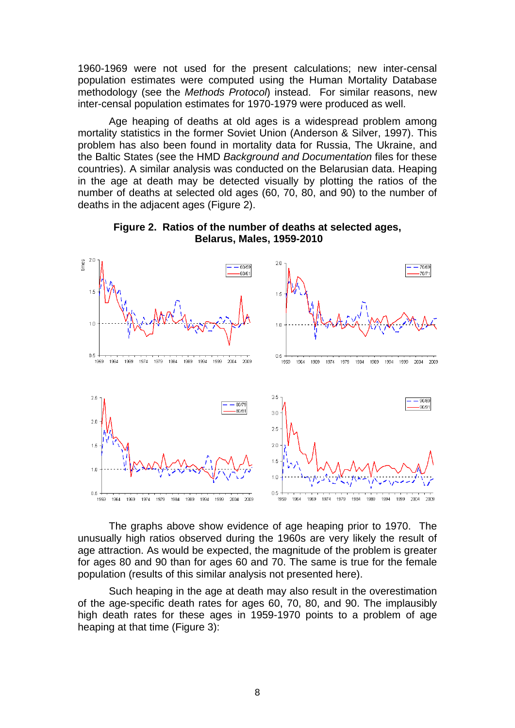1960-1969 were not used for the present calculations; new inter-censal population estimates were computed using the Human Mortality Database methodology (see the *Methods Protocol*) instead. For similar reasons, new inter-censal population estimates for 1970-1979 were produced as well.

Age heaping of deaths at old ages is a widespread problem among mortality statistics in the former Soviet Union (Anderson & Silver, 1997). This problem has also been found in mortality data for Russia, The Ukraine, and the Baltic States (see the HMD *Background and Documentation* files for these countries). A similar analysis was conducted on the Belarusian data. Heaping in the age at death may be detected visually by plotting the ratios of the number of deaths at selected old ages (60, 70, 80, and 90) to the number of deaths in the adjacent ages (Figure 2).



**Figure 2. Ratios of the number of deaths at selected ages, Belarus, Males, 1959-2010**

The graphs above show evidence of age heaping prior to 1970. The unusually high ratios observed during the 1960s are very likely the result of age attraction. As would be expected, the magnitude of the problem is greater for ages 80 and 90 than for ages 60 and 70. The same is true for the female population (results of this similar analysis not presented here).

Such heaping in the age at death may also result in the overestimation of the age-specific death rates for ages 60, 70, 80, and 90. The implausibly high death rates for these ages in 1959-1970 points to a problem of age heaping at that time (Figure 3):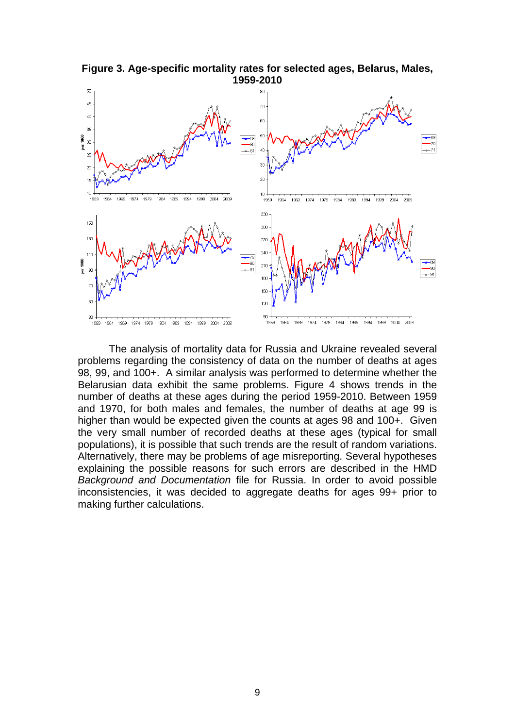

**Figure 3. Age-specific mortality rates for selected ages, Belarus, Males, 1959-2010**

The analysis of mortality data for Russia and Ukraine revealed several problems regarding the consistency of data on the number of deaths at ages 98, 99, and 100+. A similar analysis was performed to determine whether the Belarusian data exhibit the same problems. Figure 4 shows trends in the number of deaths at these ages during the period 1959-2010. Between 1959 and 1970, for both males and females, the number of deaths at age 99 is higher than would be expected given the counts at ages 98 and 100+. Given the very small number of recorded deaths at these ages (typical for small populations), it is possible that such trends are the result of random variations. Alternatively, there may be problems of age misreporting. Several hypotheses explaining the possible reasons for such errors are described in the HMD *Background and Documentation* file for Russia. In order to avoid possible inconsistencies, it was decided to aggregate deaths for ages 99+ prior to making further calculations.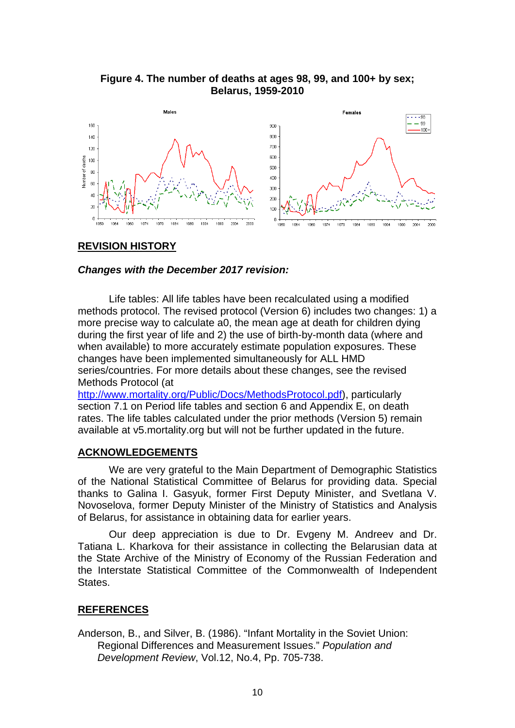#### **Figure 4. The number of deaths at ages 98, 99, and 100+ by sex; Belarus, 1959-2010**



#### **REVISION HISTORY**

#### *Changes with the December 2017 revision:*

Life tables: All life tables have been recalculated using a modified methods protocol. The revised protocol (Version 6) includes two changes: 1) a more precise way to calculate a0, the mean age at death for children dying during the first year of life and 2) the use of birth-by-month data (where and when available) to more accurately estimate population exposures. These changes have been implemented simultaneously for ALL HMD series/countries. For more details about these changes, see the revised Methods Protocol (at

[http://www.mortality.org/Public/Docs/MethodsProtocol.pdf\)](http://www.mortality.org/Public/Docs/MethodsProtocol.pdf), particularly section 7.1 on Period life tables and section 6 and Appendix E, on death rates. The life tables calculated under the prior methods (Version 5) remain available at v5.mortality.org but will not be further updated in the future.

#### **ACKNOWLEDGEMENTS**

We are very grateful to the Main Department of Demographic Statistics of the National Statistical Committee of Belarus for providing data. Special thanks to Galina I. Gasyuk, former First Deputy Minister, and Svetlana V. Novoselova, former Deputy Minister of the Ministry of Statistics and Analysis of Belarus, for assistance in obtaining data for earlier years.

Our deep appreciation is due to Dr. Evgeny M. Andreev and Dr. Tatiana L. Kharkova for their assistance in collecting the Belarusian data at the State Archive of the Ministry of Economy of the Russian Federation and the Interstate Statistical Committee of the Commonwealth of Independent States.

#### **REFERENCES**

Anderson, B., and Silver, B. (1986). "Infant Mortality in the Soviet Union: Regional Differences and Measurement Issues." *Population and Development Review*, Vol.12, No.4, Pp. 705-738.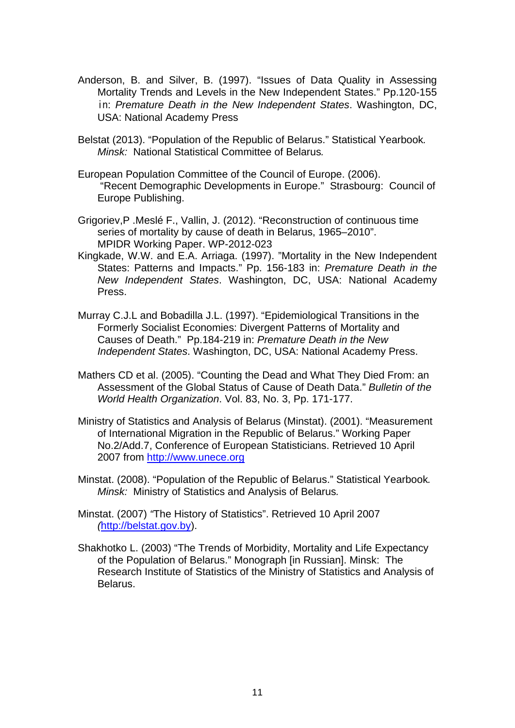- Anderson, B. and Silver, B. (1997). "Issues of Data Quality in Assessing Mortality Trends and Levels in the New Independent States." Pp.120-155 in: *Premature Death in the New Independent States*. Washington, DC, USA: National Academy Press
- Belstat (2013). "Population of the Republic of Belarus." Statistical Yearbook*. Minsk:* National Statistical Committee of Belarus*.*
- European Population Committee of the Council of Europe. (2006). "Recent Demographic Developments in Europe." Strasbourg: Council of Europe Publishing.
- Grigoriev,P .Meslé F., Vallin, J. (2012). "Reconstruction of continuous time series of mortality by cause of death in Belarus, 1965–2010". MPIDR Working Paper. WP-2012-023
- Kingkade, W.W. and E.A. Arriaga. (1997). "Mortality in the New Independent States: Patterns and Impacts." Pp. 156-183 in: *Premature Death in the New Independent States*. Washington, DC, USA: National Academy Press.
- Murray C.J.L and Bobadilla J.L. (1997). "Epidemiological Transitions in the Formerly Socialist Economies: Divergent Patterns of Mortality and Causes of Death." Pp.184-219 in: *Premature Death in the New Independent States*. Washington, DC, USA: National Academy Press.
- Mathers CD et al. (2005). "Counting the Dead and What They Died From: an Assessment of the Global Status of Cause of Death Data." *Bulletin of the World Health Organization*. Vol. 83, No. 3, Pp. 171-177.
- Ministry of Statistics and Analysis of Belarus (Minstat). (2001). "Measurement of International Migration in the Republic of Belarus." Working Paper No.2/Add.7, Conference of European Statisticians. Retrieved 10 April 2007 from [http://www.unece.org](http://www.unece.org/)
- Minstat. (2008). "Population of the Republic of Belarus." Statistical Yearbook*. Minsk:* Ministry of Statistics and Analysis of Belarus*.*
- Minstat. (2007) *"*The History of Statistics". Retrieved 10 April 2007 *(*[http://belstat.gov.by\)](http://belstat.gov.by/).
- Shakhotko L. (2003) "The Trends of Morbidity, Mortality and Life Expectancy of the Population of Belarus." Monograph [in Russian]. Minsk: The Research Institute of Statistics of the Ministry of Statistics and Analysis of Belarus.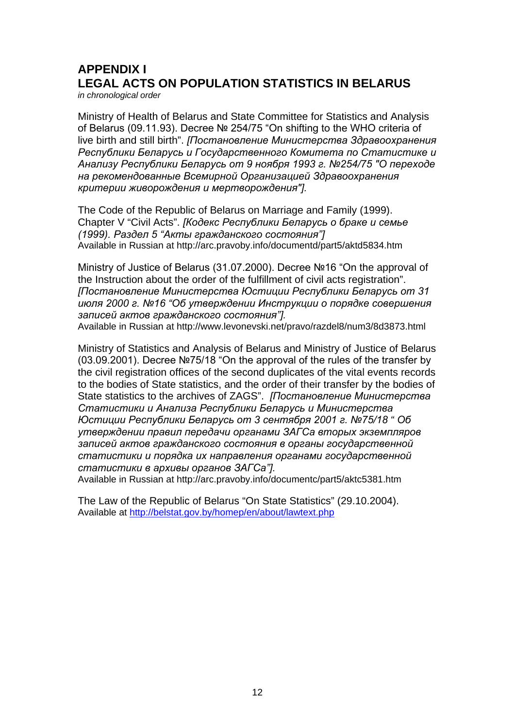# **APPENDIX I LEGAL ACTS ON POPULATION STATISTICS IN BELARUS**

*in chronological order*

Ministry of Health of Belarus and State Committee for Statistics and Analysis of Belarus (09.11.93). Decree № 254/75 "On shifting to the WHO criteria of live birth and still birth". *[Постановление Министерства Здравоохранения Республики Беларусь и Государственного Комитета по Статистике и Анализу Республики Беларусь от 9 ноября 1993 г. №254/75 "О переходе на рекомендованные Всемирной Организацией Здравоохранения критерии живорождения и мертворождения"].*

The Code of the Republic of Belarus on Marriage and Family (1999). Chapter V "Civil Acts". *[Кодекс Республики Беларусь о браке и семье (1999). Раздел 5 "Акты гражданского состояния"]* Available in Russian at http://arc.pravoby.info/documentd/part5/aktd5834.htm

Ministry of Justice of Belarus (31.07.2000). Decree №16 "On the approval of the Instruction about the order of the fulfillment of civil acts registration". *[Постановление Министерства Юстиции Республики Беларусь от 31 июля 2000 г. №16 "Об утверждении Инструкции о порядке совершения записей актов гражданского состояния"].*

Available in Russian at http://www.levonevski.net/pravo/razdel8/num3/8d3873.html

Ministry of Statistics and Analysis of Belarus and Ministry of Justice of Belarus (03.09.2001). Decree №75/18 "On the approval of the rules of the transfer by the civil registration offices of the second duplicates of the vital events records to the bodies of State statistics, and the order of their transfer by the bodies of State statistics to the archives of ZAGS". *[Постановление Министерства Статистики и Анализа Республики Беларусь и Министерства Юстиции Республики Беларусь от 3 сентября 2001 г. №75/18 " Об утверждении правил передачи органами ЗАГСа вторых экземпляров записей актов гражданского состояния в органы государственной статистики и порядка их направления органами государственной статистики в архивы органов ЗАГСа"].*

Available in Russian at http://arc.pravoby.info/documentc/part5/aktc5381.htm

The Law of the Republic of Belarus "On State Statistics" (29.10.2004). Available at<http://belstat.gov.by/homep/en/about/lawtext.php>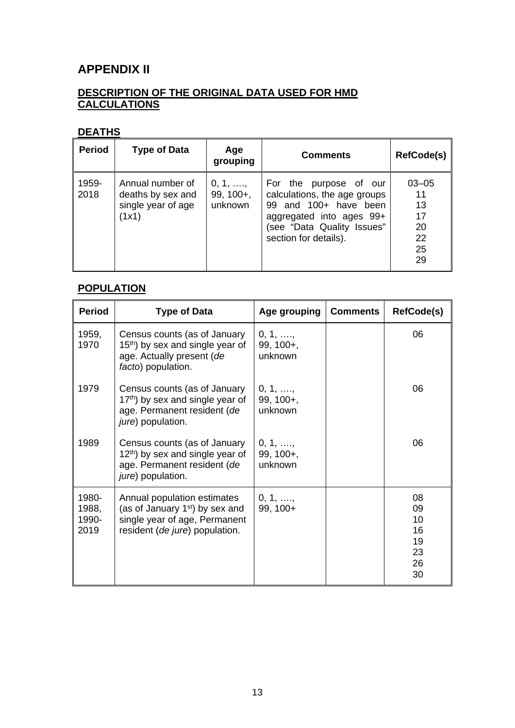## **APPENDIX II**

## **DESCRIPTION OF THE ORIGINAL DATA USED FOR HMD CALCULATIONS**

## **DEATHS**

| <b>Period</b> | <b>Type of Data</b>                                                  | Age<br>grouping                             | <b>Comments</b>                                                                                                                                                    | <b>RefCode(s)</b>                                   |
|---------------|----------------------------------------------------------------------|---------------------------------------------|--------------------------------------------------------------------------------------------------------------------------------------------------------------------|-----------------------------------------------------|
| 1959-<br>2018 | Annual number of<br>deaths by sex and<br>single year of age<br>(1x1) | $0, 1, \ldots,$<br>$99, 100 +$ ,<br>unknown | For the purpose of our<br>calculations, the age groups<br>99 and 100+ have been<br>aggregated into ages 99+<br>(see "Data Quality Issues"<br>section for details). | $03 - 05$<br>11<br>13<br>17<br>20<br>22<br>25<br>29 |

## **POPULATION**

| <b>Period</b>                   | <b>Type of Data</b>                                                                                                                           | Age grouping                                | <b>Comments</b> | <b>RefCode(s)</b>                            |
|---------------------------------|-----------------------------------------------------------------------------------------------------------------------------------------------|---------------------------------------------|-----------------|----------------------------------------------|
| 1959,<br>1970                   | Census counts (as of January<br>15 <sup>th</sup> ) by sex and single year of<br>age. Actually present (de<br>facto) population.               | $0, 1, \ldots,$<br>$99, 100 +$ ,<br>unknown |                 | 06                                           |
| 1979                            | Census counts (as of January<br>17th) by sex and single year of<br>age. Permanent resident (de<br>jure) population.                           | $0, 1, \ldots,$<br>$99, 100 +$ ,<br>unknown |                 | 06                                           |
| 1989                            | Census counts (as of January<br>12 <sup>th</sup> ) by sex and single year of<br>age. Permanent resident (de<br>jure) population.              | $0, 1, \ldots,$<br>$99, 100 +$ ,<br>unknown |                 | 06                                           |
| 1980-<br>1988,<br>1990-<br>2019 | Annual population estimates<br>(as of January 1 <sup>st</sup> ) by sex and<br>single year of age, Permanent<br>resident (de jure) population. | 0, 1, ,<br>99, 100+                         |                 | 08<br>09<br>10<br>16<br>19<br>23<br>26<br>30 |